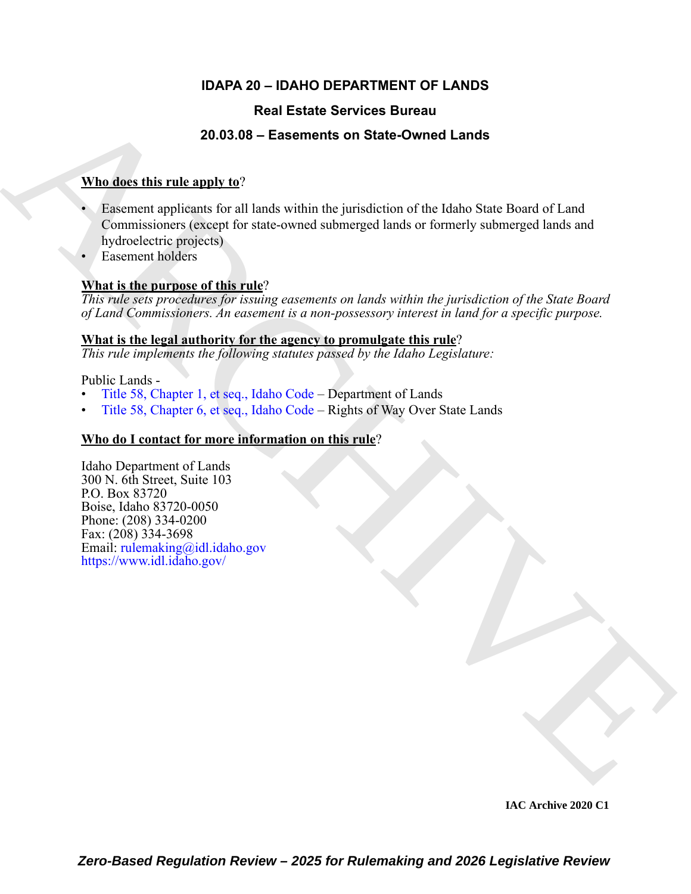# **IDAPA 20 – IDAHO DEPARTMENT OF LANDS**

# **Real Estate Services Bureau**

# **20.03.08 – Easements on State-Owned Lands**

# **Who does this rule apply to**?

- **Real Estate Services Bureau<br>
20.03.05 Essements on State-Owned Lands<br>
When direct this rule angle**  $\mathbf{r}$ **<br>**  $\mathbf{r}$  **Exament angle licens for all lands within the junicalisation of the Idaho State-Banal of Land<br> [C](https://legislature.idaho.gov/statutesrules/idstat/Title58/T58CH1/)ommis** • Easement applicants for all lands within the jurisdiction of the Idaho State Board of Land Commissioners (except for state-owned submerged lands or formerly submerged lands and hydroelectric projects)
	- Easement holders

# **What is the purpose of this rule**?

*This rule sets procedures for issuing easements on lands within the jurisdiction of the State Board of Land Commissioners. An easement is a non-possessory interest in land for a specific purpose.*

### **What is the legal authority for the agency to promulgate this rule**?

*This rule implements the following statutes passed by the Idaho Legislature:*

Public Lands -

- Title 58, Chapter 1, et seq., Idaho Code Department of Lands
- Title 58, Chapter 6, et seq., Idaho Code Rights of Way Over State Lands

# **Who do I contact for more information on this rule**?

Idaho Department of Lands 300 N. 6th Street, Suite 103 P.O. Box 83720 Boise, Idaho 83720-0050 Phone: (208) 334-0200 Fax: (208) 334-3698 Email: rulemaking@idl.idaho.gov https://www.idl.idaho.gov/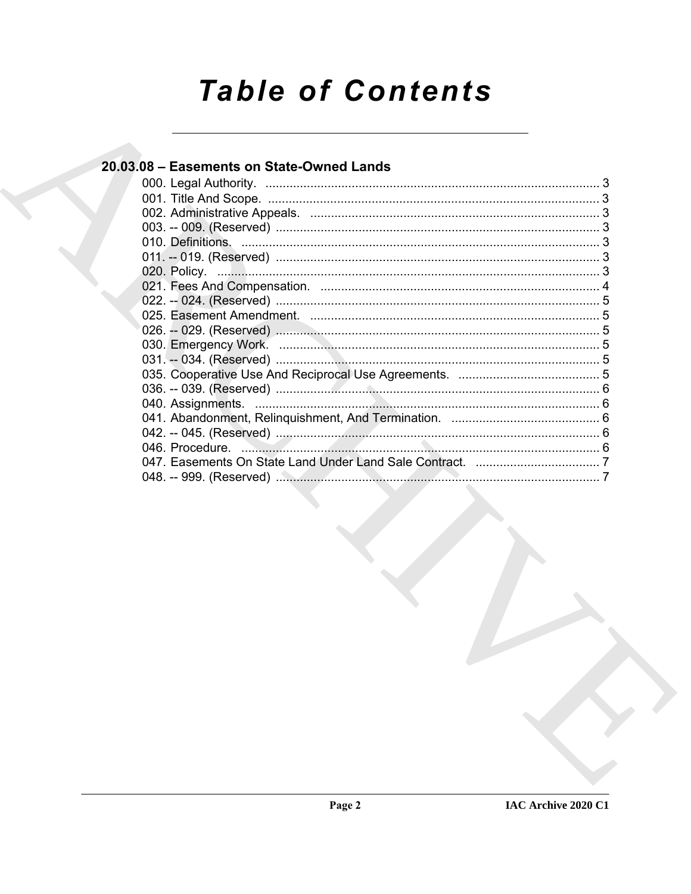# **Table of Contents**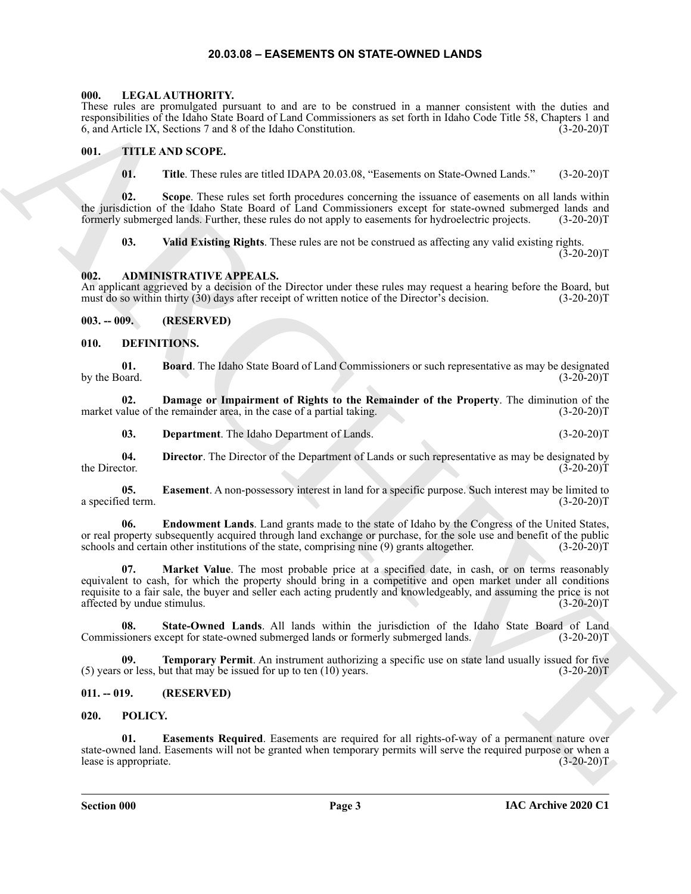#### **20.03.08 – EASEMENTS ON STATE-OWNED LANDS**

#### <span id="page-2-19"></span><span id="page-2-1"></span><span id="page-2-0"></span>**000. LEGAL AUTHORITY.**

These rules are promulgated pursuant to and are to be construed in a manner consistent with the duties and responsibilities of the Idaho State Board of Land Commissioners as set forth in Idaho Code Title 58, Chapters 1 and 6, and Article IX, Sections 7 and 8 of the Idaho Constitution. (3-20-20) 6, and Article IX, Sections 7 and 8 of the Idaho Constitution.

#### <span id="page-2-2"></span>**001. TITLE AND SCOPE.**

<span id="page-2-22"></span>**01. Title**. These rules are titled IDAPA 20.03.08, "Easements on State-Owned Lands." (3-20-20)T

**02. Scope**. These rules set forth procedures concerning the issuance of easements on all lands within the jurisdiction of the Idaho State Board of Land Commissioners except for state-owned submerged lands and formerly submerged lands. Further, these rules do not apply to easements for hydroelectric projects. (3-20-20)T

<span id="page-2-8"></span>**03. Valid Existing Rights**. These rules are not be construed as affecting any valid existing rights.  $(3-20-20)T$ 

#### <span id="page-2-3"></span>**002. ADMINISTRATIVE APPEALS.**

An applicant aggrieved by a decision of the Director under these rules may request a hearing before the Board, but must do so within thirty (30) days after receipt of written notice of the Director's decision. (3-20-20)T must do so within thirty  $(30)$  days after receipt of written notice of the Director's decision.

#### <span id="page-2-4"></span>**003. -- 009. (RESERVED)**

#### <span id="page-2-9"></span><span id="page-2-5"></span>**010. DEFINITIONS.**

<span id="page-2-10"></span>**01. Board**. The Idaho State Board of Land Commissioners or such representative as may be designated by the Board.

**02. Damage or Impairment of Rights to the Remainder of the Property**. The diminution of the alue of the remainder area, in the case of a partial taking. (3-20-20) market value of the remainder area, in the case of a partial taking.

<span id="page-2-14"></span><span id="page-2-13"></span><span id="page-2-12"></span><span id="page-2-11"></span>**03. Department**. The Idaho Department of Lands. (3-20-20)T

**04.** Director. The Director of the Department of Lands or such representative as may be designated by the Director. (3-20-20) the Director. (3-20-20)T

**05. Easement**. A non-possessory interest in land for a specific purpose. Such interest may be limited to ed term. (3-20-20) a specified term.

<span id="page-2-16"></span><span id="page-2-15"></span>**06. Endowment Lands**. Land grants made to the state of Idaho by the Congress of the United States, or real property subsequently acquired through land exchange or purchase, for the sole use and benefit of the public schools and certain other institutions of the state, comprising nine (9) grants altogether. (3-20-20)T schools and certain other institutions of the state, comprising nine (9) grants altogether.

Hence Advanced Internal Controller Controller Controller Controller (1998). Controller Controller Controller Controller Controller Controller Controller Controller Controller Controller (2002)<br>
(i) THE Theorem Section Con **Market Value**. The most probable price at a specified date, in cash, or on terms reasonably equivalent to cash, for which the property should bring in a competitive and open market under all conditions requisite to a fair sale, the buyer and seller each acting prudently and knowledgeably, and assuming the price is not affected by undue stimulus. (3-20-20)T

<span id="page-2-17"></span>**08. State-Owned Lands**. All lands within the jurisdiction of the Idaho State Board of Land Commissioners except for state-owned submerged lands or formerly submerged lands. (3-20-20)T

<span id="page-2-18"></span>**09. Temporary Permit**. An instrument authorizing a specific use on state land usually issued for five or less, but that may be issued for up to ten (10) years. (3-20-20)  $(5)$  years or less, but that may be issued for up to ten  $(10)$  years.

#### <span id="page-2-6"></span>**011. -- 019. (RESERVED)**

#### <span id="page-2-20"></span><span id="page-2-7"></span>**020. POLICY.**

<span id="page-2-21"></span>**Easements Required.** Easements are required for all rights-of-way of a permanent nature over state-owned land. Easements will not be granted when temporary permits will serve the required purpose or when a lease is appropriate. (3-20-20)T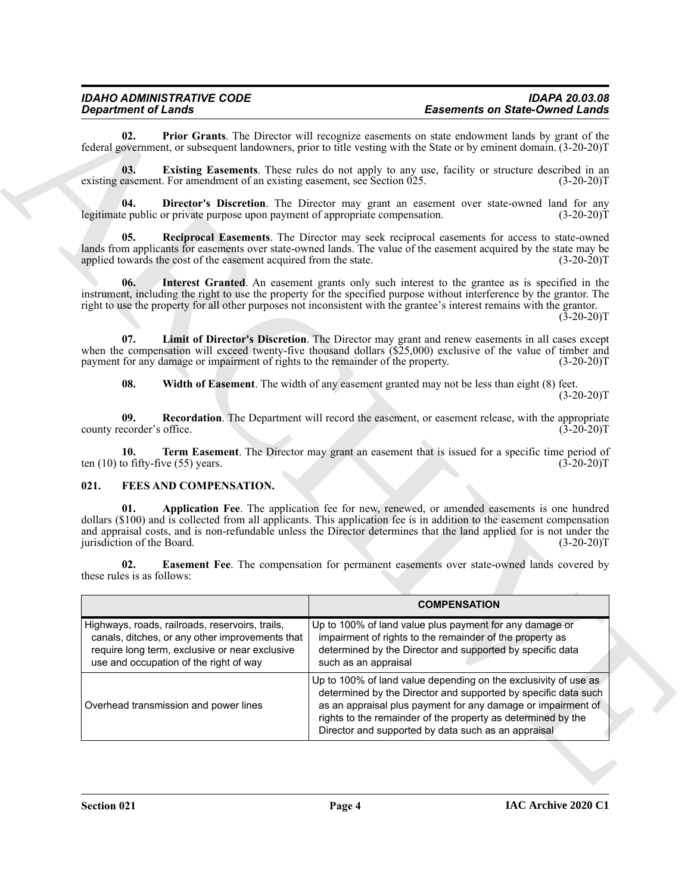# <span id="page-3-9"></span><span id="page-3-8"></span><span id="page-3-6"></span><span id="page-3-5"></span><span id="page-3-4"></span>*IDAHO ADMINISTRATIVE CODE IDAPA 20.03.08 Easements on State-Owned Lands*

#### <span id="page-3-12"></span><span id="page-3-11"></span><span id="page-3-10"></span><span id="page-3-7"></span><span id="page-3-3"></span><span id="page-3-2"></span><span id="page-3-1"></span><span id="page-3-0"></span>**021. FEES AND COMPENSATION.**

|                                                                                   | <b>Department of Lands</b>                                                                                                                                                                     | <b>Easements on State-Owned Lands</b>                                                                                                                                                                                                                                                                                                                              |
|-----------------------------------------------------------------------------------|------------------------------------------------------------------------------------------------------------------------------------------------------------------------------------------------|--------------------------------------------------------------------------------------------------------------------------------------------------------------------------------------------------------------------------------------------------------------------------------------------------------------------------------------------------------------------|
| 02.                                                                               |                                                                                                                                                                                                | <b>Prior Grants</b> . The Director will recognize easements on state endowment lands by grant of the<br>federal government, or subsequent landowners, prior to title vesting with the State or by eminent domain. (3-20-20)T                                                                                                                                       |
| 03.<br>existing easement. For amendment of an existing easement, see Section 025. |                                                                                                                                                                                                | Existing Easements. These rules do not apply to any use, facility or structure described in an<br>$(3-20-20)T$                                                                                                                                                                                                                                                     |
| 04.                                                                               | legitimate public or private purpose upon payment of appropriate compensation.                                                                                                                 | Director's Discretion. The Director may grant an easement over state-owned land for any<br>$(3-20-20)T$                                                                                                                                                                                                                                                            |
| 05.                                                                               | applied towards the cost of the easement acquired from the state.                                                                                                                              | Reciprocal Easements. The Director may seek reciprocal easements for access to state-owned<br>lands from applicants for easements over state-owned lands. The value of the easement acquired by the state may be<br>$(3-20-20)T$                                                                                                                                   |
| 06.                                                                               |                                                                                                                                                                                                | Interest Granted. An easement grants only such interest to the grantee as is specified in the<br>instrument, including the right to use the property for the specified purpose without interference by the grantor. The<br>right to use the property for all other purposes not inconsistent with the grantee's interest remains with the grantor.<br>$(3-20-20)T$ |
|                                                                                   | payment for any damage or impairment of rights to the remainder of the property.                                                                                                               | 07. Limit of Director's Discretion. The Director may grant and renew easements in all cases except<br>when the compensation will exceed twenty-five thousand dollars (\$25,000) exclusive of the value of timber and<br>$(3-20-20)T$                                                                                                                               |
| 08.                                                                               |                                                                                                                                                                                                | Width of Easement. The width of any easement granted may not be less than eight (8) feet.<br>$(3-20-20)T$                                                                                                                                                                                                                                                          |
| 09.<br>county recorder's office.                                                  |                                                                                                                                                                                                | <b>Recordation.</b> The Department will record the easement, or easement release, with the appropriate<br>$(3-20-20)T$                                                                                                                                                                                                                                             |
| 10.                                                                               | ten $(10)$ to fifty-five $(55)$ years.                                                                                                                                                         | Term Easement. The Director may grant an easement that is issued for a specific time period of<br>$(3-20-20)T$                                                                                                                                                                                                                                                     |
| 021.                                                                              | FEES AND COMPENSATION.                                                                                                                                                                         |                                                                                                                                                                                                                                                                                                                                                                    |
| 01.<br>jurisdiction of the Board.                                                 |                                                                                                                                                                                                | Application Fee. The application fee for new, renewed, or amended easements is one hundred<br>dollars (\$100) and is collected from all applicants. This application fee is in addition to the easement compensation<br>and appraisal costs, and is non-refundable unless the Director determines that the land applied for is not under the<br>$(3-20-20)T$       |
| 02.<br>these rules is as follows:                                                 |                                                                                                                                                                                                | Easement Fee. The compensation for permanent easements over state-owned lands covered by                                                                                                                                                                                                                                                                           |
|                                                                                   |                                                                                                                                                                                                | <b>COMPENSATION</b>                                                                                                                                                                                                                                                                                                                                                |
|                                                                                   | Highways, roads, railroads, reservoirs, trails,<br>canals, ditches, or any other improvements that<br>require long term, exclusive or near exclusive<br>use and occupation of the right of way | Up to 100% of land value plus payment for any damage or<br>impairment of rights to the remainder of the property as<br>determined by the Director and supported by specific data<br>such as an appraisal                                                                                                                                                           |
|                                                                                   | Overhead transmission and power lines                                                                                                                                                          | Up to 100% of land value depending on the exclusivity of use as<br>determined by the Director and supported by specific data such<br>as an appraisal plus payment for any damage or impairment of<br>rights to the remainder of the property as determined by the                                                                                                  |

 $(3-20-20)T$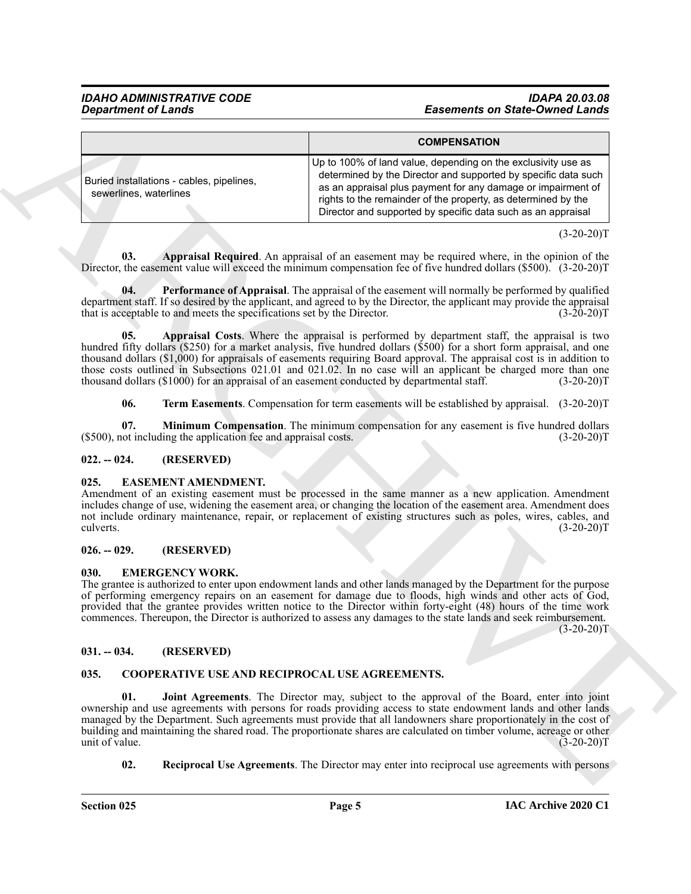#### <span id="page-4-12"></span>*IDAHO ADMINISTRATIVE CODE IDAPA 20.03.08 Easements on State-Owned Lands*

|                                                                                       | <b>Easements on State-Owned Lands</b>                                                                                                                                                                                                                                                                                                                                                                                                                                                                                                                                       |
|---------------------------------------------------------------------------------------|-----------------------------------------------------------------------------------------------------------------------------------------------------------------------------------------------------------------------------------------------------------------------------------------------------------------------------------------------------------------------------------------------------------------------------------------------------------------------------------------------------------------------------------------------------------------------------|
|                                                                                       | <b>COMPENSATION</b>                                                                                                                                                                                                                                                                                                                                                                                                                                                                                                                                                         |
| Buried installations - cables, pipelines,<br>sewerlines, waterlines                   | Up to 100% of land value, depending on the exclusivity use as<br>determined by the Director and supported by specific data such<br>as an appraisal plus payment for any damage or impairment of<br>rights to the remainder of the property, as determined by the<br>Director and supported by specific data such as an appraisal                                                                                                                                                                                                                                            |
|                                                                                       | $(3-20-20)T$                                                                                                                                                                                                                                                                                                                                                                                                                                                                                                                                                                |
| 03.<br>04.<br>that is acceptable to and meets the specifications set by the Director. | Appraisal Required. An appraisal of an easement may be required where, in the opinion of the<br>Director, the easement value will exceed the minimum compensation fee of five hundred dollars (\$500). (3-20-20)T<br>Performance of Appraisal. The appraisal of the easement will normally be performed by qualified<br>department staff. If so desired by the applicant, and agreed to by the Director, the applicant may provide the appraisal<br>$(3-20-20)T$                                                                                                            |
| 05.                                                                                   | Appraisal Costs. Where the appraisal is performed by department staff, the appraisal is two<br>hundred fifty dollars (\$250) for a market analysis, five hundred dollars (\$500) for a short form appraisal, and one<br>thousand dollars (\$1,000) for appraisals of easements requiring Board approval. The appraisal cost is in addition to<br>those costs outlined in Subsections 021.01 and 021.02. In no case will an applicant be charged more than one<br>thousand dollars (\$1000) for an appraisal of an easement conducted by departmental staff.<br>$(3-20-20)T$ |
| 06.                                                                                   | <b>Term Easements.</b> Compensation for term easements will be established by appraisal. (3-20-20)T                                                                                                                                                                                                                                                                                                                                                                                                                                                                         |
| 07.<br>(\$500), not including the application fee and appraisal costs.                | Minimum Compensation. The minimum compensation for any easement is five hundred dollars<br>$(3-20-20)T$                                                                                                                                                                                                                                                                                                                                                                                                                                                                     |
| $022. - 024.$<br>(RESERVED)                                                           |                                                                                                                                                                                                                                                                                                                                                                                                                                                                                                                                                                             |
| EASEMENT AMENDMENT.<br>025.<br>culverts.                                              | Amendment of an existing easement must be processed in the same manner as a new application. Amendment<br>includes change of use, widening the easement area, or changing the location of the easement area. Amendment does<br>not include ordinary maintenance, repair, or replacement of existing structures such as poles, wires, cables, and<br>$(3-20-20)T$                                                                                                                                                                                                            |
| (RESERVED)<br>$026. - 029.$                                                           |                                                                                                                                                                                                                                                                                                                                                                                                                                                                                                                                                                             |
| <b>EMERGENCY WORK.</b><br>030.                                                        | The grantee is authorized to enter upon endowment lands and other lands managed by the Department for the purpose<br>of performing emergency repairs on an easement for damage due to floods, high winds and other acts of God,<br>provided that the grantee provides written notice to the Director within forty-eight (48) hours of the time work<br>commences. Thereupon, the Director is authorized to assess any damages to the state lands and seek reimbursement.<br>$(3-20-20)T$                                                                                    |
| $031. - 034.$<br>(RESERVED)                                                           |                                                                                                                                                                                                                                                                                                                                                                                                                                                                                                                                                                             |
| 035.                                                                                  | COOPERATIVE USE AND RECIPROCAL USE AGREEMENTS.                                                                                                                                                                                                                                                                                                                                                                                                                                                                                                                              |
| 01.                                                                                   | Joint Agreements. The Director may, subject to the approval of the Board, enter into joint<br>ownership and use agreements with persons for roads providing access to state endowment lands and other lands<br>managed by the Department. Such agreements must provide that all landowners share proportionately in the cost of                                                                                                                                                                                                                                             |
| unit of value.                                                                        | building and maintaining the shared road. The proportionate shares are calculated on timber volume, acreage or other<br>$(3-20-20)T$                                                                                                                                                                                                                                                                                                                                                                                                                                        |

#### <span id="page-4-15"></span><span id="page-4-14"></span><span id="page-4-13"></span><span id="page-4-11"></span><span id="page-4-0"></span>**022. -- 024. (RESERVED)**

#### <span id="page-4-9"></span><span id="page-4-1"></span>**025. EASEMENT AMENDMENT.**

#### <span id="page-4-2"></span>**026. -- 029. (RESERVED)**

#### <span id="page-4-10"></span><span id="page-4-3"></span>**030. EMERGENCY WORK.**

#### <span id="page-4-4"></span>**031. -- 034. (RESERVED)**

#### <span id="page-4-8"></span><span id="page-4-7"></span><span id="page-4-6"></span><span id="page-4-5"></span>**035. COOPERATIVE USE AND RECIPROCAL USE AGREEMENTS.**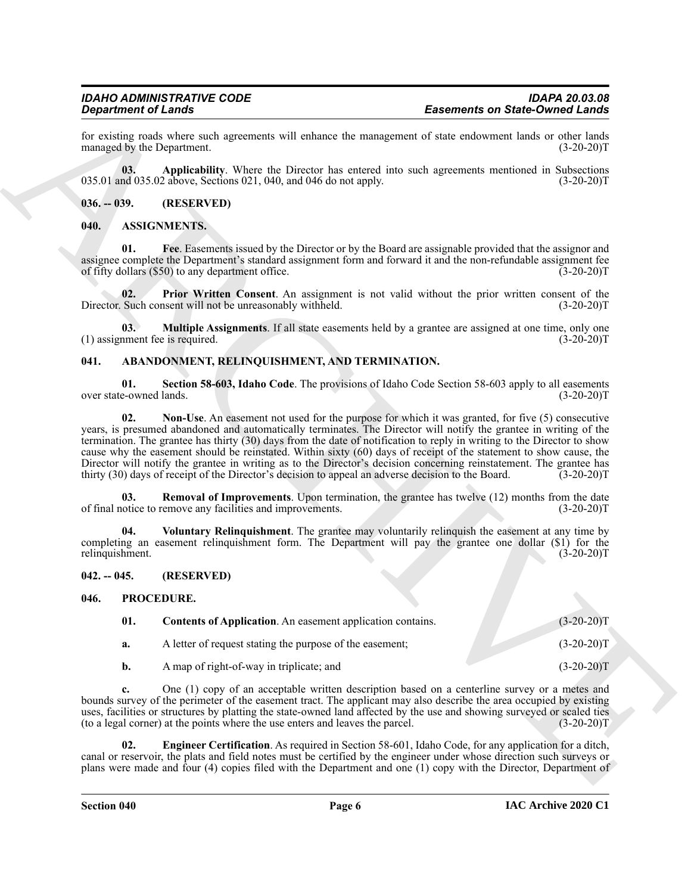for existing roads where such agreements will enhance the management of state endowment lands or other lands<br>
(3-20-20)T<br>
(3-20-20)T managed by the Department.

<span id="page-5-14"></span>**03.** Applicability. Where the Director has entered into such agreements mentioned in Subsections nd 035.02 above, Sections 021, 040, and 046 do not apply. (3-20-20)<sup>T</sup>  $035.01$  and  $035.02$  above, Sections  $021, 040$ , and  $046$  do not apply.

<span id="page-5-0"></span>**036. -- 039. (RESERVED)**

#### <span id="page-5-10"></span><span id="page-5-1"></span>**040. ASSIGNMENTS.**

<span id="page-5-11"></span>**01. Fee**. Easements issued by the Director or by the Board are assignable provided that the assignor and assignee complete the Department's standard assignment form and forward it and the non-refundable assignment fee<br>of fifty dollars (\$50) to any department office. (3-20-20) of fifty dollars  $(\$50)$  to any department office.

<span id="page-5-13"></span>**02.** Prior Written Consent. An assignment is not valid without the prior written consent of the Such consent will not be unreasonably withheld. (3-20-20)<sup>T</sup> Director. Such consent will not be unreasonably withheld.

<span id="page-5-12"></span>**03. Multiple Assignments**. If all state easements held by a grantee are assigned at one time, only one (1) assignment fee is required. (3-20-20)T

#### <span id="page-5-5"></span><span id="page-5-2"></span>**041. ABANDONMENT, RELINQUISHMENT, AND TERMINATION.**

<span id="page-5-8"></span><span id="page-5-6"></span>**01. Section 58-603, Idaho Code**. The provisions of Idaho Code Section 58-603 apply to all easements over state-owned lands.

**Experiment on State-Owner Construction**<br> **Experiment on State-Owner Construction** and the same of the same of the same of the same of the same of the same of the same of the same of the same of the same of the same of th **02. Non-Use**. An easement not used for the purpose for which it was granted, for five (5) consecutive years, is presumed abandoned and automatically terminates. The Director will notify the grantee in writing of the termination. The grantee has thirty (30) days from the date of notification to reply in writing to the Director to show cause why the easement should be reinstated. Within sixty (60) days of receipt of the statement to show cause, the Director will notify the grantee in writing as to the Director's decision concerning reinstatement. The grantee has thirty (30) days of receipt of the Director's decision to appeal an adverse decision to the Board. (3-20-2 thirty (30) days of receipt of the Director's decision to appeal an adverse decision to the Board.

<span id="page-5-7"></span>**03. Removal of Improvements**. Upon termination, the grantee has twelve (12) months from the date of final notice to remove any facilities and improvements. (3-20-20)T

<span id="page-5-9"></span>**04. Voluntary Relinquishment**. The grantee may voluntarily relinquish the easement at any time by completing an easement relinquishment form. The Department will pay the grantee one dollar (\$1) for the relinquishment. (3-20-20)T

<span id="page-5-3"></span>**042. -- 045. (RESERVED)**

#### <span id="page-5-4"></span>**046. PROCEDURE.**

<span id="page-5-16"></span><span id="page-5-15"></span>

| 01. | <b>Contents of Application.</b> An easement application contains. | $(3-20-20)T$ |
|-----|-------------------------------------------------------------------|--------------|
| а.  | A letter of request stating the purpose of the easement;          | $(3-20-20)T$ |
|     | A map of right-of-way in triplicate; and                          | $(3-20-20)T$ |

**c.** One (1) copy of an acceptable written description based on a centerline survey or a metes and bounds survey of the perimeter of the easement tract. The applicant may also describe the area occupied by existing uses, facilities or structures by platting the state-owned land affected by the use and showing surveyed or scaled ties (to a legal corner) at the points where the use enters and leaves the parcel. (3-20-20)T

<span id="page-5-17"></span>**02. Engineer Certification**. As required in Section 58-601, Idaho Code, for any application for a ditch, canal or reservoir, the plats and field notes must be certified by the engineer under whose direction such surveys or plans were made and four (4) copies filed with the Department and one (1) copy with the Director, Department of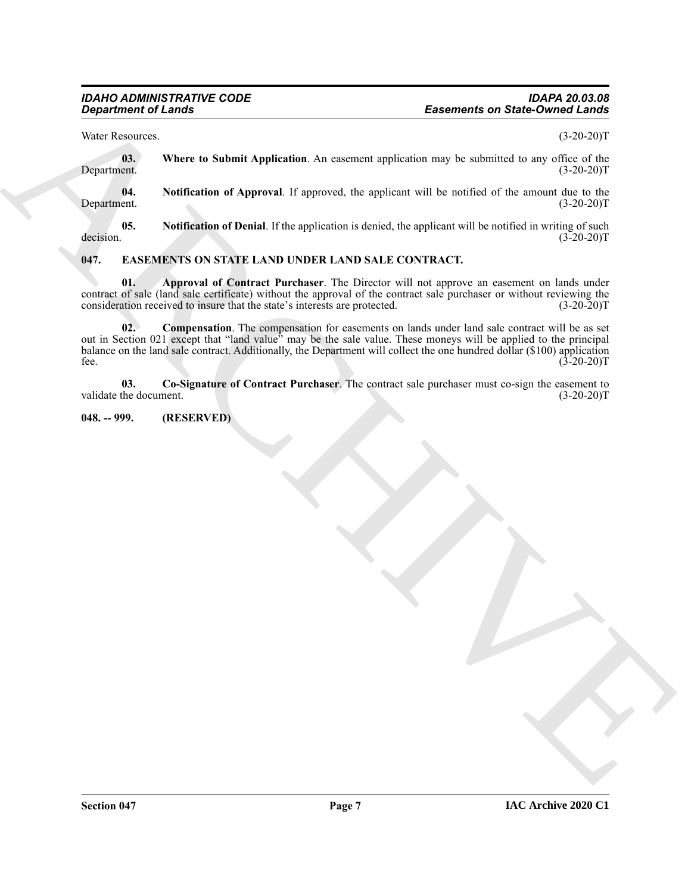Water Resources. (3-20-20)T

<span id="page-6-8"></span>**03.** Where to Submit Application. An easement application may be submitted to any office of the Department. (3-20-20)T Department. (3-20-20)T

<span id="page-6-6"></span>**04.** Notification of Approval. If approved, the applicant will be notified of the amount due to the ent.  $(3-20-20)T$ Department.

<span id="page-6-7"></span>**05.** Notification of Denial. If the application is denied, the applicant will be notified in writing of such decision.  $(3-20-20)T$ decision. (3-20-20)T

## <span id="page-6-2"></span><span id="page-6-0"></span>**047. EASEMENTS ON STATE LAND UNDER LAND SALE CONTRACT.**

<span id="page-6-4"></span><span id="page-6-3"></span>**01. Approval of Contract Purchaser**. The Director will not approve an easement on lands under contract of sale (land sale certificate) without the approval of the contract sale purchaser or without reviewing the consideration received to insure that the state's interests are protected. (3-20-20)T consideration received to insure that the state's interests are protected.

Examents on States Counter the States and Archives Counter the States and Counter the States and Counter the States and Counter the States and Counter the States and Counter the States and Counter the States and Counter t **02. Compensation**. The compensation for easements on lands under land sale contract will be as set out in Section 021 except that "land value" may be the sale value. These moneys will be applied to the principal balance on the land sale contract. Additionally, the Department will collect the one hundred dollar (\$100) application fee.  $(3-20-20)T$ 

<span id="page-6-5"></span>**03.** Co-Signature of Contract Purchaser. The contract sale purchaser must co-sign the easement to the document. (3-20-20)T validate the document.

#### <span id="page-6-1"></span>**048. -- 999. (RESERVED)**